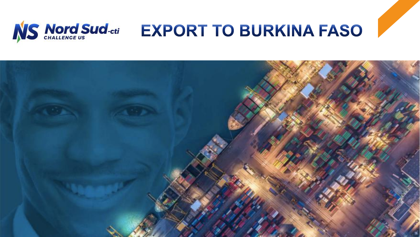

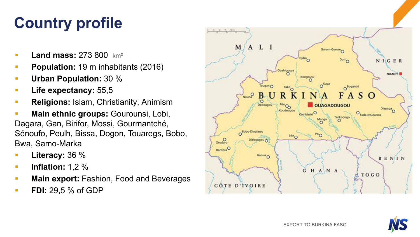# **Country profile**

- § **Land mass:** 273 800 km²
- § **Population:** 19 m inhabitants (2016)
- § **Urban Population:** 30 %
- § **Life expectancy:** 55,5
- § **Religions:** Islam, Christianity, Animism
- § **Main ethnic groups:** Gourounsi, Lobi, Dagara, Gan, Birifor, Mossi, Gourmantché, Sénoufo, Peulh, Bissa, Dogon, Touaregs, Bobo, Bwa, Samo-Marka
- § **Literacy:** 36 %
- § **Inflation:** 1,2 %
- **Main export: Fashion, Food and Beverages**
- **FDI:** 29,5 % of GDP



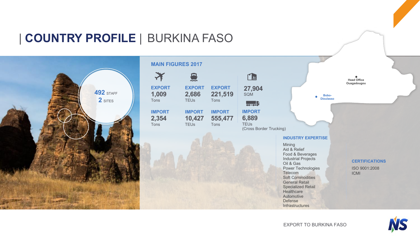### | **COUNTRY PROFILE** | BURKINA FASO





Defense **Infrastructures** 

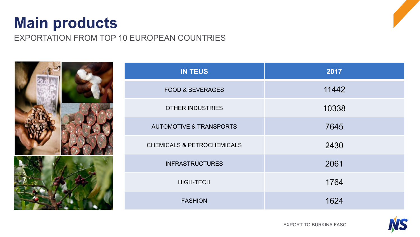### **Main products**

EXPORTATION FROM TOP 10 EUROPEAN COUNTRIES





EXPORT TO BURKINA FASO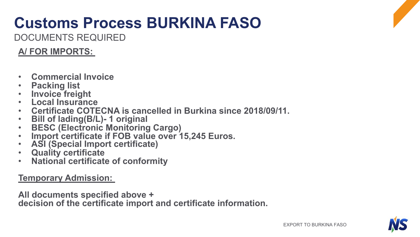# **Customs Process BURKINA FASO**

DOCUMENTS REQUIRED

#### **A/ FOR IMPORTS:**

- 
- 
- 
- 
- Commercial Invoice<br>• Packing list<br>• Invoice freight<br>• Local Insurance<br>• Certificate COTECNA is cancelled in Burkina since 2018/09/11.<br>• Bill of lading(B/L)-1 original<br>• BESC (Electronic Monitoring Cargo)<br>• Import certifi
- 
- 
- 
- 
- 
- 

**Temporary Admission:**

**All documents specified above +** 

**decision of the certificate import and certificate information.**

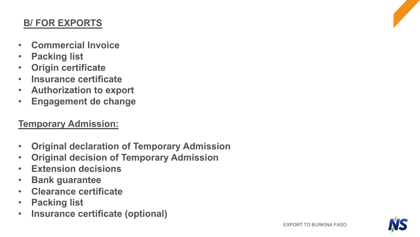#### **B/ FOR EXPORTS**

- **Commercial Invoice**
- **Packing list**
- **Origin certificate**
- **Insurance certificate**
- **Authorization to export**
- **Engagement de change**

#### **Temporary Admission:**

- **Original declaration of Temporary Admission**
- **Original decision of Temporary Admission**
- **Extension decisions**
- **Bank guarantee**
- **Clearance certificate**
- **Packing list**
- **Insurance certificate (optional)**

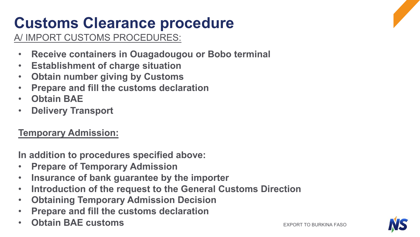# **Customs Clearance procedure**

A/ IMPORT CUSTOMS PROCEDURES:

- **Receive containers in Ouagadougou or Bobo terminal**
- **Establishment of charge situation**
- **Obtain number giving by Customs**
- **Prepare and fill the customs declaration**
- **Obtain BAE**
- **Delivery Transport**

### **Temporary Admission:**

**In addition to procedures specified above:** 

- **Prepare of Temporary Admission**
- **Insurance of bank guarantee by the importer**
- **Introduction of the request to the General Customs Direction**
- **Obtaining Temporary Admission Decision**
- **Prepare and fill the customs declaration**
- Obtain BAE customs **but all the second to but a second to but all the second to burkina faso**

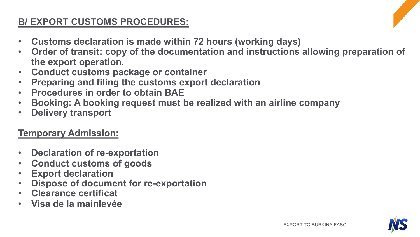#### **B/ EXPORT CUSTOMS PROCEDURES:**

- **Customs declaration is made within 72 hours (working days)**
- **Order of transit: copy of the documentation and instructions allowing preparation of the export operation.**
- **Conduct customs package or container**
- **Preparing and filing the customs export declaration**
- **Procedures in order to obtain BAE**
- **Booking: A booking request must be realized with an airline company**
- **Delivery transport**

#### **Temporary Admission:**

- **Declaration of re-exportation**
- **Conduct customs of goods**
- **Export declaration**
- **Dispose of document for re-exportation**
- **Clearance certificat**
- **Visa de la mainlevée**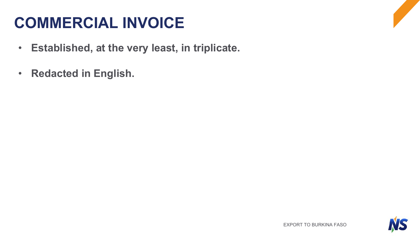## **COMMERCIAL INVOICE**

- **Established, at the very least, in triplicate.**
- **Redacted in English.**

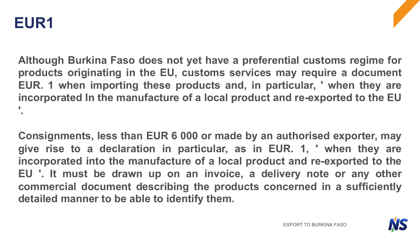

**Although Burkina Faso does not yet have a preferential customs regime for products originating in the EU, customs services may require a document EUR. 1 when importing these products and, in particular, ' when they are incorporated In the manufacture of a local product and re-exported to the EU '.**

**Consignments, less than EUR 6 000 or made by an authorised exporter, may give rise to a declaration in particular, as in EUR. 1, ' when they are incorporated into the manufacture of a local product and re-exported to the EU '. It must be drawn up on an invoice, a delivery note or any other commercial document describing the products concerned in a sufficiently detailed manner to be able to identify them.**

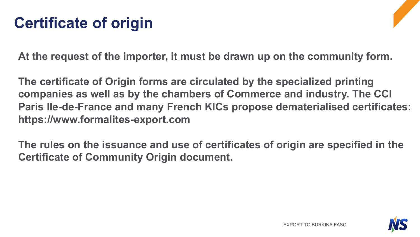## **Certificate of origin**

**At the request of the importer, it must be drawn up on the community form.** 

**The certificate of Origin forms are circulated by the specialized printing companies as well as by the chambers of Commerce and industry. The CCI Paris Ile-de-France and many French KICs propose dematerialised certificates: https://www.formalites-export.com**

**The rules on the issuance and use of certificates of origin are specified in the Certificate of Community Origin document.**

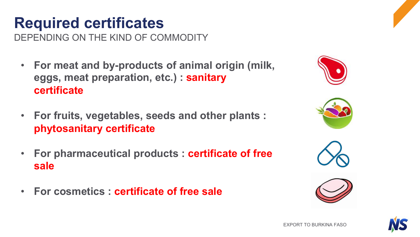## **Required certificates**

DEPENDING ON THE KIND OF COMMODITY

- **For meat and by-products of animal origin (milk, eggs, meat preparation, etc.) : sanitary certificate**
- **For fruits, vegetables, seeds and other plants : phytosanitary certificate**
- **For pharmaceutical products : certificate of free sale**
- **For cosmetics : certificate of free sale**









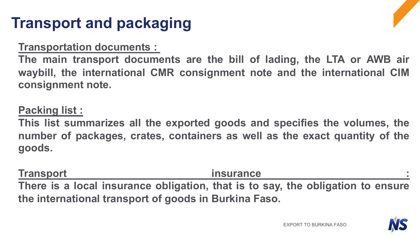## **Transport and packaging**

#### **Transportation documents :**

**The main transport documents are the bill of lading, the LTA or AWB air waybill, the international CMR consignment note and the international CIM consignment note.**

#### **Packing list :**

**This list summarizes all the exported goods and specifies the volumes, the number of packages, crates, containers as well as the exact quantity of the goods.**

**Transport insurance : There is a local insurance obligation, that is to say, the obligation to ensure the international transport of goods in Burkina Faso.**

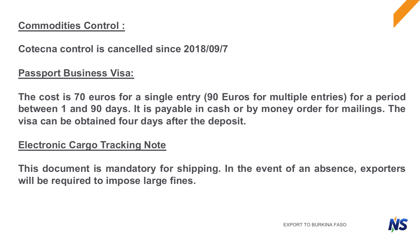### **Commodities Control :**



**Cotecna control is cancelled since 2018/09/7**

#### **Passport Business Visa:**

**The cost is 70 euros for a single entry (90 Euros for multiple entries) for a period between 1 and 90 days. It is payable in cash or by money order for mailings. The visa can be obtained four days after the deposit.**

#### **Electronic Cargo Tracking Note**

**This document is mandatory for shipping. In the event of an absence, exporters will be required to impose large fines.**